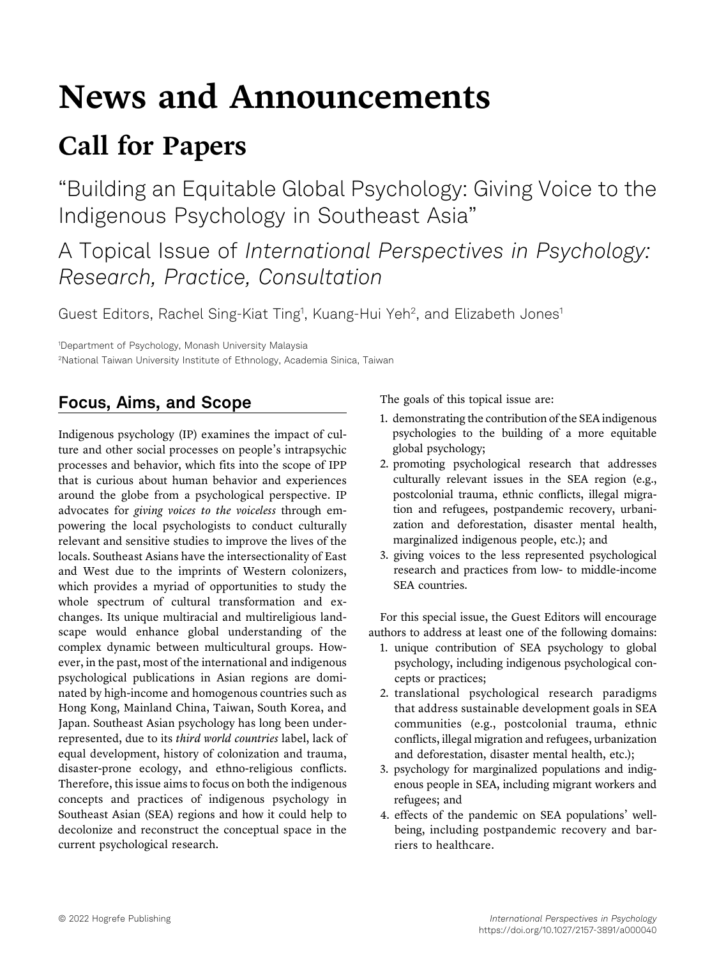# News and Announcements

## Call for Papers

"Building an Equitable Global Psychology: Giving Voice to the Indigenous Psychology in Southeast Asia"

A Topical Issue of International Perspectives in Psychology:<br>Research, Practice, Consultation Research, Practice, Consultation

Guest Editors, Rachel Sing-Kiat Ting<sup>1</sup>, Kuang-Hui Yeh<sup>2</sup>, and Elizabeth Jones<sup>1</sup>

1 Department of Psychology, Monash University Malaysia 2 National Taiwan University Institute of Ethnology, Academia Sinica, Taiwan

### Focus, Aims, and Scope

Indigenous psychology (IP) examines the impact of culture and other social processes on people's intrapsychic processes and behavior, which fits into the scope of IPP that is curious about human behavior and experiences around the globe from a psychological perspective. IP advocates for giving voices to the voiceless through empowering the local psychologists to conduct culturally relevant and sensitive studies to improve the lives of the locals. Southeast Asians have the intersectionality of East and West due to the imprints of Western colonizers, which provides a myriad of opportunities to study the whole spectrum of cultural transformation and exchanges. Its unique multiracial and multireligious landscape would enhance global understanding of the complex dynamic between multicultural groups. However, in the past, most of the international and indigenous psychological publications in Asian regions are dominated by high-income and homogenous countries such as Hong Kong, Mainland China, Taiwan, South Korea, and Japan. Southeast Asian psychology has long been underrepresented, due to its third world countries label, lack of equal development, history of colonization and trauma, disaster-prone ecology, and ethno-religious conflicts. Therefore, this issue aims to focus on both the indigenous concepts and practices of indigenous psychology in Southeast Asian (SEA) regions and how it could help to decolonize and reconstruct the conceptual space in the current psychological research.

The goals of this topical issue are:

- 1. demonstrating the contribution of the SEA indigenous psychologies to the building of a more equitable global psychology;
- 2. promoting psychological research that addresses culturally relevant issues in the SEA region (e.g., postcolonial trauma, ethnic conflicts, illegal migration and refugees, postpandemic recovery, urbanization and deforestation, disaster mental health, marginalized indigenous people, etc.); and
- 3. giving voices to the less represented psychological research and practices from low- to middle-income SEA countries.

For this special issue, the Guest Editors will encourage authors to address at least one of the following domains:

- 1. unique contribution of SEA psychology to global psychology, including indigenous psychological concepts or practices;
- 2. translational psychological research paradigms that address sustainable development goals in SEA communities (e.g., postcolonial trauma, ethnic conflicts, illegal migration and refugees, urbanization and deforestation, disaster mental health, etc.);
- 3. psychology for marginalized populations and indigenous people in SEA, including migrant workers and refugees; and
- 4. effects of the pandemic on SEA populations' wellbeing, including postpandemic recovery and barriers to healthcare.